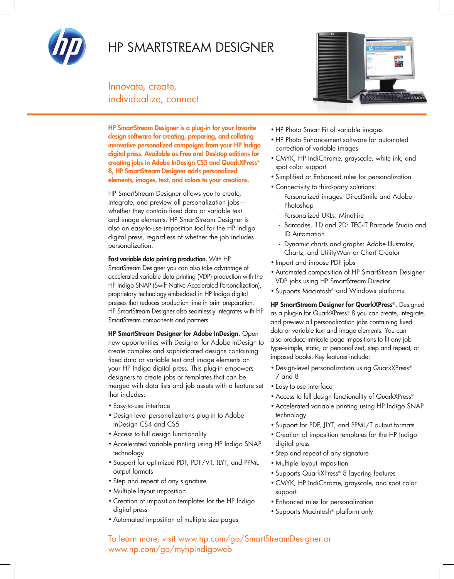

## HP SmartStream Designer

Innovate, create, individualize, connect

HP SmartStream Designer is a plug-in for your favorite design software for creating, preparing, and collating innovative personalized campaigns from your HP Indigo digital press. Available as Free and Desktop editions for creating jobs in Adobe InDesign CS5 and QuarkXPress® 8, HP SmartStream Designer adds personalized elements, images, text, and colors to your creations.

HP SmartStream Designer allows you to create, integrate, and preview all personalization jobs whether they contain fixed data or variable text and image elements. HP SmartStream Designer is also an easy-to-use imposition tool for the HP Indigo digital press, regardless of whether the job includes personalization.

Fast variable data printing production. With HP SmartStream Designer you can also take advantage of accelerated variable data printing (VDP) production with the HP Indigo SNAP (Swift Native Accelerated Personalization), proprietary technology embedded in HP Indigo digital presses that reduces production time in print preparation. HP SmartStream Designer also seamlessly integrates with HP SmartStream components and partners.

HP SmartStream Designer for Adobe InDesign. Open new opportunities with Designer for Adobe InDesign to create complex and sophisticated designs containing fixed data or variable text and image elements on your HP Indigo digital press. This plug-in empowers designers to create jobs or templates that can be merged with data lists and job assets with a feature set that includes:

- • Easy-to-use interface
- • Design-level personalizations plug-in to Adobe InDesign CS4 and CS5
- Access to full design functionality
- Accelerated variable printing using HP Indigo SNAP technology
- • Support for optimized PDF, PDF/VT, JLYT, and PPML output formats
- • Step and repeat of any signature
- • Multiple layout imposition
- • Creation of imposition templates for the HP Indigo digital press
- • Automated imposition of multiple size pages



- • HP Photo Smart Fit of variable images
- • HP Photo Enhancement software for automated correction of variable images
- CMYK, HP IndiChrome, grayscale, white ink, and spot color support
- • Simplified or Enhanced rules for personalization
- • Connectivity to third-party solutions:
	- Personalized images: DirectSmile and Adobe Photoshop
	- Personalized URLs: MindFire
	- Barcodes, 1D and 2D: TEC-IT Barcode Studio and ID Automation
	- Dynamic charts and graphs: Adobe Illustrator, Chartz, and UtilityWarrior Chart Creator
- • Import and impose PDF jobs
- • Automated composition of HP SmartStream Designer VDP jobs using HP SmartStream Director
- • Supports Macintosh® and Windows platforms

HP SmartStream Designer for QuarkXPress®. Designed as a plug-in for QuarkXPress® 8 you can create, integrate, and preview all personalization jobs containing fixed data or variable text and image elements. You can also produce intricate page impositions to fit any job type–simple, static, or personalized, step and repeat, or imposed books. Key features include:

- Design-level personalization using QuarkXPress® 7 and 8
- • Easy-to-use interface
- Access to full design functionality of QuarkXPress®
- Accelerated variable printing using HP Indigo SNAP technology
- • Support for PDF, JLYT, and PPML/T output formats
- • Creation of imposition templates for the HP Indigo digital press
- Step and repeat of any signature
- Multiple layout imposition
- Supports QuarkXPress® 8 layering features
- • CMYK, HP IndiChrome, grayscale, and spot color support
- Enhanced rules for personalization
- Supports Macintosh<sup>®</sup> platform only

To learn more, visit www.hp.com/go/SmartStreamDesigner or www.hp.com/go/myhpindigoweb